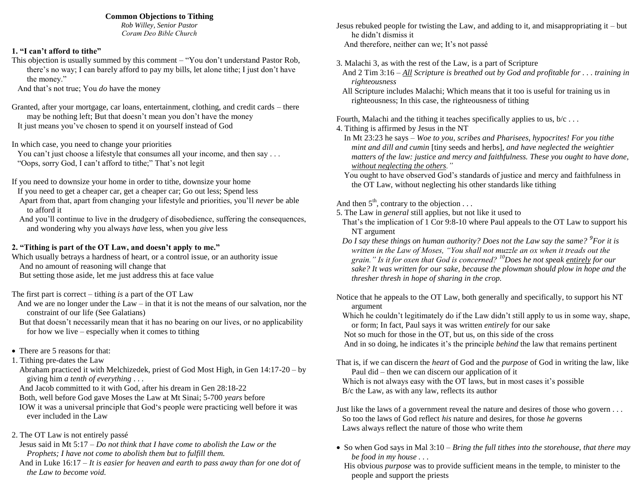### **Common Objections to Tithing**

*Rob Willey, Senior Pastor Coram Deo Bible Church*

## **1. "I can't afford to tithe"**

This objection is usually summed by this comment – "You don"t understand Pastor Rob, there's no way; I can barely afford to pay my bills, let alone tithe; I just don't have the money."

And that"s not true; You *do* have the money

Granted, after your mortgage, car loans, entertainment, clothing, and credit cards – there may be nothing left; But that doesn't mean you don't have the money It just means you"ve chosen to spend it on yourself instead of God

In which case, you need to change your priorities

You can't just choose a lifestyle that consumes all your income, and then say ... "Oops, sorry God, I can"t afford to tithe;" That"s not legit

If you need to downsize your home in order to tithe, downsize your home

- If you need to get a cheaper car, get a cheaper car; Go out less; Spend less Apart from that, apart from changing your lifestyle and priorities, you"ll *never* be able
- to afford it And you"ll continue to live in the drudgery of disobedience, suffering the consequences, and wondering why you always *have* less, when you *give* less

# **2. "Tithing is part of the OT Law, and doesn't apply to me."**

Which usually betrays a hardness of heart, or a control issue, or an authority issue And no amount of reasoning will change that

But setting those aside, let me just address this at face value

The first part is correct – tithing *is* a part of the OT Law

- And we are no longer under the Law in that it is not the means of our salvation, nor the constraint of our life (See Galatians)
- But that doesn't necessarily mean that it has no bearing on our lives, or no applicability for how we live – especially when it comes to tithing
- There are 5 reasons for that:
- 1. Tithing pre-dates the Law
	- Abraham practiced it with Melchizedek, priest of God Most High, in Gen 14:17-20 by giving him *a tenth of everything* . . .
	- And Jacob committed to it with God, after his dream in Gen 28:18-22
	- Both, well before God gave Moses the Law at Mt Sinai; 5-700 *years* before
	- IOW it was a universal principle that God"s people were practicing well before it was ever included in the Law
- 2. The OT Law is not entirely passé
- Jesus said in Mt 5:17 *Do not think that I have come to abolish the Law or the Prophets; I have not come to abolish them but to fulfill them.*
- And in Luke 16:17 *It is easier for heaven and earth to pass away than for one dot of the Law to become void.*
- Jesus rebuked people for twisting the Law, and adding to it, and misappropriating it but he didn"t dismiss it And therefore, neither can we; It"s not passé
- 3. Malachi 3, as with the rest of the Law, is a part of Scripture
- And 2 Tim 3:16 *All Scripture is breathed out by God and profitable for . . . training in righteousness*
- All Scripture includes Malachi; Which means that it too is useful for training us in righteousness; In this case, the righteousness of tithing

Fourth, Malachi and the tithing it teaches specifically applies to us,  $b/c \ldots$ 

- 4. Tithing is affirmed by Jesus in the NT
	- In Mt 23:23 he says – *Woe to you, scribes and Pharisees, hypocrites! For you tithe mint and dill and cumin* [tiny seeds and herbs]*, and have neglected the weightier matters of the law: justice and mercy and faithfulness. These you ought to have done, without neglecting the others."*
	- You ought to have observed God"s standards of justice and mercy and faithfulness in the OT Law, without neglecting his other standards like tithing

# And then  $5<sup>th</sup>$ , contrary to the objection . . .

- 5. The Law in *general* still applies, but not like it used to
- That"s the implication of 1 Cor 9:8-10 where Paul appeals to the OT Law to support his NT argument
- *Do I say these things on human authority? Does not the Law say the same? <sup>9</sup> For it is written in the Law of Moses, "You shall not muzzle an ox when it treads out the grain." Is it for oxen that God is concerned? <sup>10</sup>Does he not speak entirely for our sake? It was written for our sake, because the plowman should plow in hope and the thresher thresh in hope of sharing in the crop.*
- Notice that he appeals to the OT Law, both generally and specifically, to support his NT argument
- Which he couldn't legitimately do if the Law didn't still apply to us in some way, shape, or form; In fact, Paul says it was written *entirely* for our sake

Not so much for those in the OT, but us, on this side of the cross

And in so doing, he indicates it's the principle *behind* the law that remains pertinent

That is, if we can discern the *heart* of God and the *purpose* of God in writing the law, like Paul did – then we can discern our application of it

Which is not always easy with the OT laws, but in most cases it's possible B/c the Law, as with any law, reflects its author

Just like the laws of a government reveal the nature and desires of those who govern . . . So too the laws of God reflect *his* nature and desires, for those *he* governs Laws always reflect the nature of those who write them

- So when God says in Mal 3:10 *Bring the full tithes into the storehouse, that there may be food in my house . . .*
- His obvious *purpose* was to provide sufficient means in the temple, to minister to the people and support the priests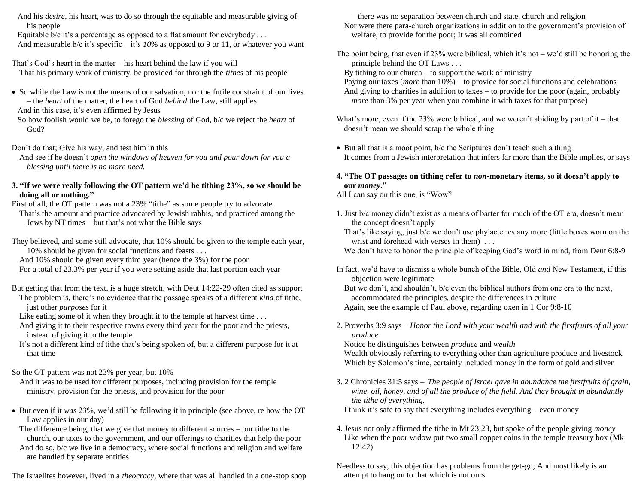And his *desire*, his heart, was to do so through the equitable and measurable giving of his people

Equitable  $b/c$  it's a percentage as opposed to a flat amount for everybody ... And measurable b/c it's specific – it's  $10\%$  as opposed to 9 or 11, or whatever you want

That"s God"s heart in the matter – his heart behind the law if you will That his primary work of ministry, be provided for through the *tithes* of his people

• So while the Law is not the means of our salvation, nor the futile constraint of our lives – the *heart* of the matter, the heart of God *behind* the Law, still applies

And in this case, it's even affirmed by Jesus

So how foolish would we be, to forego the *blessing* of God, b/c we reject the *heart* of God?

Don"t do that; Give his way, and test him in this

And see if he doesn"t *open the windows of heaven for you and pour down for you a blessing until there is no more need.*

### **3. "If we were really following the OT pattern we'd be tithing 23%, so we should be doing all or nothing."**

First of all, the OT pattern was not a 23% "tithe" as some people try to advocate That"s the amount and practice advocated by Jewish rabbis, and practiced among the Jews by NT times – but that"s not what the Bible says

They believed, and some still advocate, that 10% should be given to the temple each year, 10% should be given for social functions and feasts . . .

And 10% should be given every third year (hence the 3%) for the poor For a total of 23.3% per year if you were setting aside that last portion each year

- But getting that from the text, is a huge stretch, with Deut 14:22-29 often cited as support The problem is, there"s no evidence that the passage speaks of a different *kind* of tithe, just other *purposes* for it
	- Like eating some of it when they brought it to the temple at harvest time ...

And giving it to their respective towns every third year for the poor and the priests, instead of giving it to the temple

It's not a different kind of tithe that's being spoken of, but a different purpose for it at that time

# So the OT pattern was not 23% per year, but 10%

And it was to be used for different purposes, including provision for the temple ministry, provision for the priests, and provision for the poor

 But even if it *was* 23%, we"d still be following it in principle (see above, re how the OT Law applies in our day)

The difference being, that we give that money to different sources – our tithe to the church, our taxes to the government, and our offerings to charities that help the poor

And do so, b/c we live in a democracy, where social functions and religion and welfare are handled by separate entities

The Israelites however, lived in a *theocracy*, where that was all handled in a one-stop shop

– there was no separation between church and state, church and religion Nor were there para-church organizations in addition to the government's provision of welfare, to provide for the poor; It was all combined

The point being, that even if  $23%$  were biblical, which it's not – we'd still be honoring the principle behind the OT Laws . . .

By tithing to our church – to support the work of ministry

Paying our taxes (*more* than 10%) – to provide for social functions and celebrations And giving to charities in addition to taxes – to provide for the poor (again, probably *more* than 3% per year when you combine it with taxes for that purpose)

- What's more, even if the 23% were biblical, and we weren't abiding by part of it that doesn"t mean we should scrap the whole thing
- But all that is a moot point, b/c the Scriptures don't teach such a thing It comes from a Jewish interpretation that infers far more than the Bible implies, or says
- **4. "The OT passages on tithing refer to** *non***-monetary items, so it doesn't apply to our** *money***."**

All I can say on this one, is "Wow"

- 1. Just b/c money didn"t exist as a means of barter for much of the OT era, doesn"t mean the concept doesn"t apply
	- That's like saying, just b/c we don't use phylacteries any more (little boxes worn on the wrist and forehead with verses in them) ...

We don't have to honor the principle of keeping God's word in mind, from Deut 6:8-9

In fact, we"d have to dismiss a whole bunch of the Bible, Old *and* New Testament, if this objection were legitimate

But we don"t, and shouldn"t, b/c even the biblical authors from one era to the next, accommodated the principles, despite the differences in culture Again, see the example of Paul above, regarding oxen in 1 Cor 9:8-10

2. Proverbs 3:9 says – *Honor the Lord with your wealth and with the firstfruits of all your produce*

Notice he distinguishes between *produce* and *wealth*

Wealth obviously referring to everything other than agriculture produce and livestock Which by Solomon's time, certainly included money in the form of gold and silver

3. 2 Chronicles 31:5 says – *The people of Israel gave in abundance the firstfruits of grain, wine, oil, honey, and of all the produce of the field. And they brought in abundantly the tithe of everything.*

I think it's safe to say that everything includes everything – even money

- 4. Jesus not only affirmed the tithe in Mt 23:23, but spoke of the people giving *money* Like when the poor widow put two small copper coins in the temple treasury box (Mk 12:42)
- Needless to say, this objection has problems from the get-go; And most likely is an attempt to hang on to that which is not ours